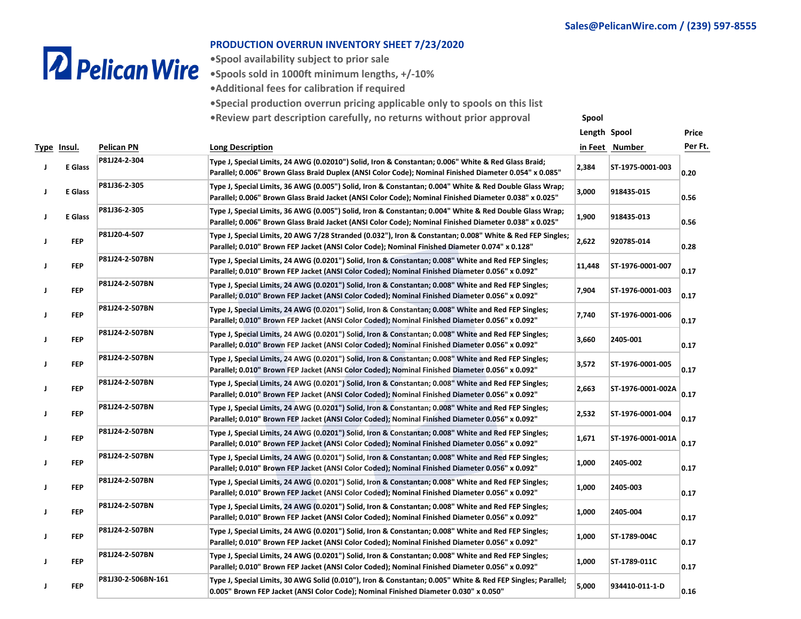# **2** Pelican Wire

#### **PRODUCTION OVERRUN INVENTORY SHEET 7/23/2020**

**•Spool availability subject to prior sale**

**•Spools sold in 1000ft minimum lengths, +/-10%**

**•Additional fees for calibration if required**

**•Special production overrun pricing applicable only to spools on this list**

**•Review part description carefully, no returns without prior approval Spool**

|   |             |                    |                                                                                                                                                                                                                   | Length Spool |                   | Price   |
|---|-------------|--------------------|-------------------------------------------------------------------------------------------------------------------------------------------------------------------------------------------------------------------|--------------|-------------------|---------|
|   | Type Insul. | Pelican PN         | <b>Long Description</b>                                                                                                                                                                                           |              | in Feet Number    | Per Ft. |
| J | E Glass     | P81J24-2-304       | Type J, Special Limits, 24 AWG (0.02010") Solid, Iron & Constantan; 0.006" White & Red Glass Braid;<br>"Parallel; 0.006" Brown Glass Braid Duplex (ANSI Color Code); Nominal Finished Diameter 0.054" x 0.085     | 2,384        | ST-1975-0001-003  | 0.20    |
| J | E Glass     | P81J36-2-305       | Type J, Special Limits, 36 AWG (0.005") Solid, Iron & Constantan; 0.004" White & Red Double Glass Wrap;<br>Parallel; 0.006" Brown Glass Braid Jacket (ANSI Color Code); Nominal Finished Diameter 0.038" x 0.025" | 3,000        | 918435-015        | 0.56    |
| J | E Glass     | P81J36-2-305       | Type J, Special Limits, 36 AWG (0.005") Solid, Iron & Constantan; 0.004" White & Red Double Glass Wrap;<br>Parallel; 0.006" Brown Glass Braid Jacket (ANSI Color Code); Nominal Finished Diameter 0.038" x 0.025" | 1,900        | 918435-013        | 0.56    |
|   | <b>FEP</b>  | P81J20-4-507       | Type J, Special Limits, 20 AWG 7/28 Stranded (0.032"), Iron & Constantan; 0.008" White & Red FEP Singles;<br>Parallel; 0.010" Brown FEP Jacket (ANSI Color Code); Nominal Finished Diameter 0.074" x 0.128"       | 2,622        | 920785-014        | 0.28    |
|   | FEP         | P81J24-2-507BN     | Type J, Special Limits, 24 AWG (0.0201") Solid, Iron & Constantan; 0.008" White and Red FEP Singles;<br>Parallel; 0.010" Brown FEP Jacket (ANSI Color Coded); Nominal Finished Diameter 0.056" x 0.092"           | 11,448       | ST-1976-0001-007  | 0.17    |
|   | FEP         | P81J24-2-507BN     | Type J, Special Limits, 24 AWG (0.0201") Solid, Iron & Constantan; 0.008" White and Red FEP Singles;<br>Parallel; 0.010" Brown FEP Jacket (ANSI Color Coded); Nominal Finished Diameter 0.056" x 0.092"           | 7,904        | ST-1976-0001-003  | 0.17    |
|   | <b>FEP</b>  | P81J24-2-507BN     | Type J, Special Limits, 24 AWG (0.0201") Solid, Iron & Constantan; 0.008" White and Red FEP Singles;<br>Parallel; 0.010" Brown FEP Jacket (ANSI Color Coded); Nominal Finished Diameter 0.056" x 0.092"           | 7,740        | ST-1976-0001-006  | 0.17    |
|   | FEP         | P81J24-2-507BN     | Type J, Special Limits, 24 AWG (0.0201") Solid, Iron & Constantan; 0.008" White and Red FEP Singles;<br>Parallel; 0.010" Brown FEP Jacket (ANSI Color Coded); Nominal Finished Diameter 0.056" x 0.092"           | 3,660        | 2405-001          | 0.17    |
|   | <b>FFP</b>  | P81J24-2-507BN     | Type J, Special Limits, 24 AWG (0.0201") Solid, Iron & Constantan; 0.008" White and Red FEP Singles;<br>Parallel; 0.010" Brown FEP Jacket (ANSI Color Coded); Nominal Finished Diameter 0.056" x 0.092"           | 3,572        | ST-1976-0001-005  | 0.17    |
|   | <b>FFP</b>  | P81J24-2-507BN     | Type J, Special Limits, 24 AWG (0.0201") Solid, Iron & Constantan; 0.008" White and Red FEP Singles;<br>Parallel; 0.010" Brown FEP Jacket (ANSI Color Coded); Nominal Finished Diameter 0.056" x 0.092"           | 2,663        | ST-1976-0001-002A | 0.17    |
|   | <b>FFP</b>  | P81J24-2-507BN     | Type J, Special Limits, 24 AWG (0.0201") Solid, Iron & Constantan; 0.008" White and Red FEP Singles;<br>Parallel; 0.010" Brown FEP Jacket (ANSI Color Coded); Nominal Finished Diameter 0.056" x 0.092"           | 2,532        | ST-1976-0001-004  | 0.17    |
|   | FEP         | P81J24-2-507BN     | Type J, Special Limits, 24 AWG (0.0201") Solid, Iron & Constantan; 0.008" White and Red FEP Singles;<br>Parallel; 0.010" Brown FEP Jacket (ANSI Color Coded); Nominal Finished Diameter 0.056" x 0.092"           | 1,671        | ST-1976-0001-001A | 0.17    |
|   | <b>FFP</b>  | P81J24-2-507BN     | Type J, Special Limits, 24 AWG (0.0201") Solid, Iron & Constantan; 0.008" White and Red FEP Singles;<br>Parallel; 0.010" Brown FEP Jacket (ANSI Color Coded); Nominal Finished Diameter 0.056" x 0.092"           | 1,000        | 2405-002          | 0.17    |
|   | FEP         | P81J24-2-507BN     | Type J, Special Limits, 24 AWG (0.0201") Solid, Iron & Constantan; 0.008" White and Red FEP Singles;<br>Parallel; 0.010" Brown FEP Jacket (ANSI Color Coded); Nominal Finished Diameter 0.056" x 0.092"           | 1,000        | 2405-003          | 0.17    |
|   | FEP         | P81J24-2-507BN     | Type J, Special Limits, 24 AWG (0.0201") Solid, Iron & Constantan; 0.008" White and Red FEP Singles;<br>Parallel; 0.010" Brown FEP Jacket (ANSI Color Coded); Nominal Finished Diameter 0.056" x 0.092"           | 1,000        | 2405-004          | 0.17    |
|   | <b>FEP</b>  | P81J24-2-507BN     | Type J, Special Limits, 24 AWG (0.0201") Solid, Iron & Constantan; 0.008" White and Red FEP Singles;<br>Parallel; 0.010" Brown FEP Jacket (ANSI Color Coded); Nominal Finished Diameter 0.056" x 0.092"           | 1,000        | ST-1789-004C      | 0.17    |
|   | <b>FFP</b>  | P81J24-2-507BN     | Type J, Special Limits, 24 AWG (0.0201") Solid, Iron & Constantan; 0.008" White and Red FEP Singles;<br>Parallel; 0.010" Brown FEP Jacket (ANSI Color Coded); Nominal Finished Diameter 0.056" x 0.092"           | 1,000        | ST-1789-011C      | 0.17    |
|   | <b>FEP</b>  | P81J30-2-506BN-161 | Type J, Special Limits, 30 AWG Solid (0.010"), Iron & Constantan; 0.005" White & Red FEP Singles; Parallel;<br>0.005" Brown FEP Jacket (ANSI Color Code); Nominal Finished Diameter 0.030" x 0.050"               | 5,000        | 934410-011-1-D    | 0.16    |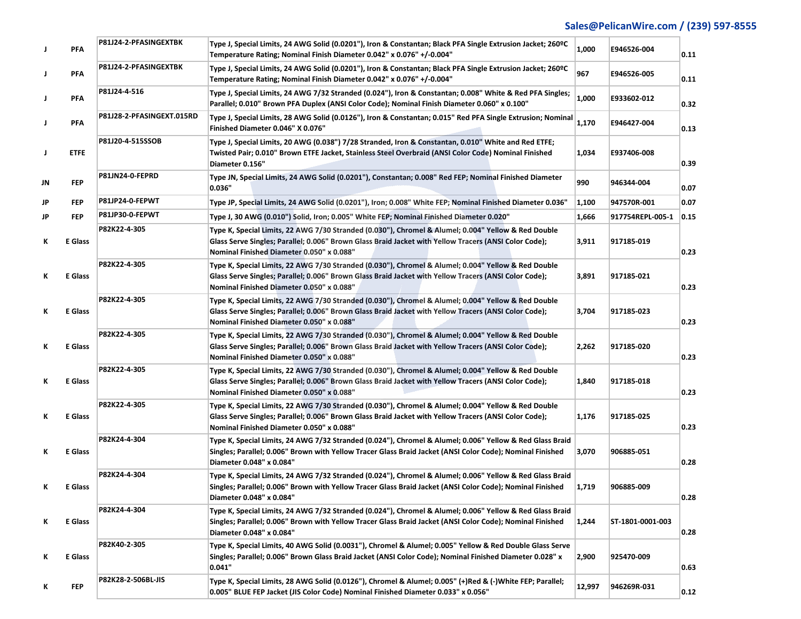| J  | <b>PFA</b>  | P81J24-2-PFASINGEXTBK     | Type J, Special Limits, 24 AWG Solid (0.0201"), Iron & Constantan; Black PFA Single Extrusion Jacket; 260°C<br>Temperature Rating; Nominal Finish Diameter 0.042" x 0.076" +/-0.004"                                                                      | 1,000  | E946526-004      | 0.11 |
|----|-------------|---------------------------|-----------------------------------------------------------------------------------------------------------------------------------------------------------------------------------------------------------------------------------------------------------|--------|------------------|------|
| J  | PFA         | P81J24-2-PFASINGEXTBK     | Type J, Special Limits, 24 AWG Solid (0.0201"), Iron & Constantan; Black PFA Single Extrusion Jacket; 260ºC<br>Temperature Rating; Nominal Finish Diameter 0.042" x 0.076" +/-0.004"                                                                      | 967    | E946526-005      | 0.11 |
| J  | <b>PFA</b>  | P81J24-4-516              | Type J, Special Limits, 24 AWG 7/32 Stranded (0.024"), Iron & Constantan; 0.008" White & Red PFA Singles;<br>Parallel; 0.010" Brown PFA Duplex (ANSI Color Code); Nominal Finish Diameter 0.060" x 0.100"                                                 | 1,000  | E933602-012      | 0.32 |
| J  | <b>PFA</b>  | P81J28-2-PFASINGEXT.015RD | Type J, Special Limits, 28 AWG Solid (0.0126"), Iron & Constantan; 0.015" Red PFA Single Extrusion; Nominal<br>Finished Diameter 0.046" X 0.076"                                                                                                          | 1,170  | E946427-004      | 0.13 |
| J  | <b>ETFE</b> | P81J20-4-515SSOB          | Type J, Special Limits, 20 AWG (0.038") 7/28 Stranded, Iron & Constantan, 0.010" White and Red ETFE;<br>Twisted Pair; 0.010" Brown ETFE Jacket, Stainless Steel Overbraid (ANSI Color Code) Nominal Finished<br>Diameter 0.156"                           | 1,034  | E937406-008      | 0.39 |
| JN | <b>FFP</b>  | P81JN24-0-FEPRD           | Type JN, Special Limits, 24 AWG Solid (0.0201"), Constantan; 0.008" Red FEP; Nominal Finished Diameter<br>0.036"                                                                                                                                          | 990    | 946344-004       | 0.07 |
| JP | <b>FEP</b>  | P81JP24-0-FEPWT           | "Type JP, Special Limits, 24 AWG Solid (0.0201"), Iron; 0.008" White FEP; Nominal Finished Diameter 0.036                                                                                                                                                 | 1,100  | 947570R-001      | 0.07 |
| JP | <b>FFP</b>  | P81JP30-0-FEPWT           | Type J, 30 AWG (0.010") Solid, Iron; 0.005" White FEP; Nominal Finished Diameter 0.020"                                                                                                                                                                   | 1,666  | 917754REPL-005-1 | 0.15 |
| K  | E Glass     | P82K22-4-305              | Type K, Special Limits, 22 AWG 7/30 Stranded (0.030"), Chromel & Alumel; 0.004" Yellow & Red Double<br>Glass Serve Singles; Parallel; 0.006" Brown Glass Braid Jacket with Yellow Tracers (ANSI Color Code);<br>Nominal Finished Diameter 0.050" x 0.088" | 3,911  | 917185-019       | 0.23 |
| К  | E Glass     | P82K22-4-305              | Type K, Special Limits, 22 AWG 7/30 Stranded (0.030"), Chromel & Alumel; 0.004" Yellow & Red Double<br>Glass Serve Singles; Parallel; 0.006" Brown Glass Braid Jacket with Yellow Tracers (ANSI Color Code);<br>Nominal Finished Diameter 0.050" x 0.088" | 3,891  | 917185-021       | 0.23 |
| К  | E Glass     | P82K22-4-305              | Type K, Special Limits, 22 AWG 7/30 Stranded (0.030"), Chromel & Alumel; 0.004" Yellow & Red Double<br>Glass Serve Singles; Parallel; 0.006" Brown Glass Braid Jacket with Yellow Tracers (ANSI Color Code);<br>Nominal Finished Diameter 0.050" x 0.088" | 3,704  | 917185-023       | 0.23 |
| К  | E Glass     | P82K22-4-305              | Type K, Special Limits, 22 AWG 7/30 Stranded (0.030"), Chromel & Alumel; 0.004" Yellow & Red Double<br>Glass Serve Singles; Parallel; 0.006" Brown Glass Braid Jacket with Yellow Tracers (ANSI Color Code);<br>Nominal Finished Diameter 0.050" x 0.088" | 2,262  | 917185-020       | 0.23 |
| Κ  | E Glass     | P82K22-4-305              | Type K, Special Limits, 22 AWG 7/30 Stranded (0.030"), Chromel & Alumel; 0.004" Yellow & Red Double<br>Glass Serve Singles; Parallel; 0.006" Brown Glass Braid Jacket with Yellow Tracers (ANSI Color Code);<br>Nominal Finished Diameter 0.050" x 0.088" | 1,840  | 917185-018       | 0.23 |
| К  | E Glass     | P82K22-4-305              | Type K, Special Limits, 22 AWG 7/30 Stranded (0.030"), Chromel & Alumel; 0.004" Yellow & Red Double<br>Glass Serve Singles; Parallel; 0.006" Brown Glass Braid Jacket with Yellow Tracers (ANSI Color Code);<br>Nominal Finished Diameter 0.050" x 0.088" | 1,176  | 917185-025       | 0.23 |
| Κ  | E Glass     | P82K24-4-304              | Type K, Special Limits, 24 AWG 7/32 Stranded (0.024"), Chromel & Alumel; 0.006" Yellow & Red Glass Braid<br>Singles; Parallel; 0.006" Brown with Yellow Tracer Glass Braid Jacket (ANSI Color Code); Nominal Finished<br>Diameter 0.048" x 0.084"         | 3,070  | 906885-051       | 0.28 |
| ĸ  | E Glass     | P82K24-4-304              | Type K, Special Limits, 24 AWG 7/32 Stranded (0.024"), Chromel & Alumel; 0.006" Yellow & Red Glass Braid<br>Singles; Parallel; 0.006" Brown with Yellow Tracer Glass Braid Jacket (ANSI Color Code); Nominal Finished<br>Diameter 0.048" x 0.084"         | 1,719  | 906885-009       | 0.28 |
| К  | E Glass     | P82K24-4-304              | Type K, Special Limits, 24 AWG 7/32 Stranded (0.024"), Chromel & Alumel; 0.006" Yellow & Red Glass Braid<br>Singles; Parallel; 0.006" Brown with Yellow Tracer Glass Braid Jacket (ANSI Color Code); Nominal Finished<br>Diameter 0.048" x 0.084"         | 1,244  | ST-1801-0001-003 | 0.28 |
| K  | E Glass     | P82K40-2-305              | Type K, Special Limits, 40 AWG Solid (0.0031"), Chromel & Alumel; 0.005" Yellow & Red Double Glass Serve<br>Singles; Parallel; 0.006" Brown Glass Braid Jacket (ANSI Color Code); Nominal Finished Diameter 0.028" x<br>0.041"                            | 2,900  | 925470-009       | 0.63 |
| Κ  | <b>FEP</b>  | P82K28-2-506BL-JIS        | Type K, Special Limits, 28 AWG Solid (0.0126"), Chromel & Alumel; 0.005" (+)Red & (-)White FEP; Parallel;<br>0.005" BLUE FEP Jacket (JIS Color Code) Nominal Finished Diameter 0.033" x 0.056"                                                            | 12,997 | 946269R-031      | 0.12 |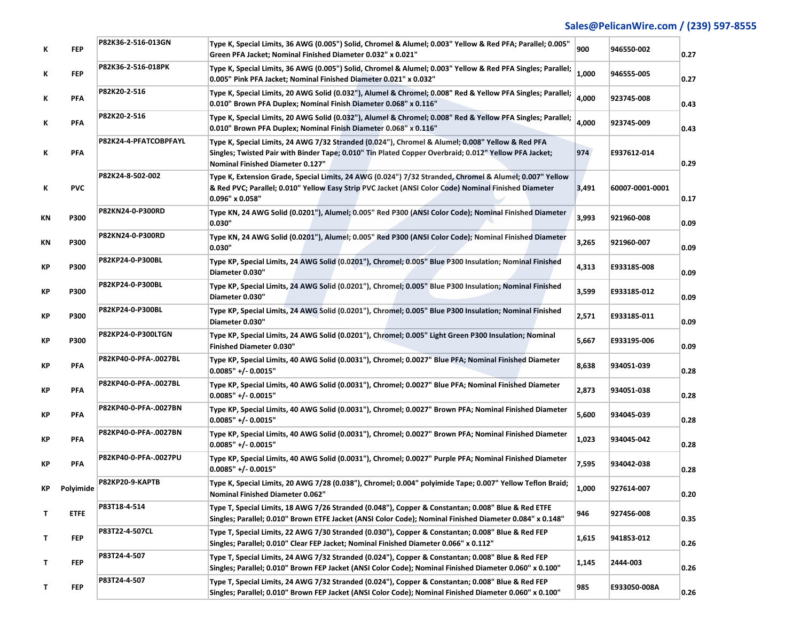| Κ  | <b>FFP</b>  | P82K36-2-516-013GN     | Type K, Special Limits, 36 AWG (0.005") Solid, Chromel & Alumel; 0.003" Yellow & Red PFA; Parallel; 0.005"<br>Green PFA Jacket; Nominal Finished Diameter 0.032" x 0.021"                                                                     | 900   | 946550-002      | 0.27 |
|----|-------------|------------------------|-----------------------------------------------------------------------------------------------------------------------------------------------------------------------------------------------------------------------------------------------|-------|-----------------|------|
| Κ  | <b>FFP</b>  | P82K36-2-516-018PK     | Type K, Special Limits, 36 AWG (0.005") Solid, Chromel & Alumel; 0.003" Yellow & Red PFA Singles; Parallel;<br>0.005" Pink PFA Jacket; Nominal Finished Diameter 0.021" x 0.032"                                                              | 1,000 | 946555-005      | 0.27 |
| Κ  | PFA         | P82K20-2-516           | Type K, Special Limits, 20 AWG Solid (0.032"), Alumel & Chromel; 0.008" Red & Yellow PFA Singles; Parallel;<br>0.010" Brown PFA Duplex; Nominal Finish Diameter 0.068" x 0.116"                                                               | 4,000 | 923745-008      | 0.43 |
| Κ  | PFA         | P82K20-2-516           | Type K, Special Limits, 20 AWG Solid (0.032"), Alumel & Chromel; 0.008" Red & Yellow PFA Singles; Parallel;<br>0.010" Brown PFA Duplex; Nominal Finish Diameter 0.068" x 0.116"                                                               | 4,000 | 923745-009      | 0.43 |
| К  | PFA         | P82K24-4-PFATCOBPFAYL  | Type K, Special Limits, 24 AWG 7/32 Stranded (0.024"), Chromel & Alumel; 0.008" Yellow & Red PFA<br>Singles; Twisted Pair with Binder Tape; 0.010" Tin Plated Copper Overbraid; 0.012" Yellow PFA Jacket;<br>Nominal Finished Diameter 0.127" | 974   | E937612-014     | 0.29 |
| Κ  | <b>PVC</b>  | P82K24-8-502-002       | Type K, Extension Grade, Special Limits, 24 AWG (0.024") 7/32 Stranded, Chromel & Alumel; 0.007" Yellow<br>& Red PVC; Parallel; 0.010" Yellow Easy Strip PVC Jacket (ANSI Color Code) Nominal Finished Diameter<br>0.096" x 0.058"            | 3,491 | 60007-0001-0001 | 0.17 |
| ΚN | P300        | P82KN24-0-P300RD       | Type KN, 24 AWG Solid (0.0201"), Alumel; 0.005" Red P300 (ANSI Color Code); Nominal Finished Diameter<br>0.030"                                                                                                                               | 3,993 | 921960-008      | 0.09 |
| ΚN | P300        | P82KN24-0-P300RD       | Type KN, 24 AWG Solid (0.0201"), Alumel; 0.005" Red P300 (ANSI Color Code); Nominal Finished Diameter<br>0.030"                                                                                                                               | 3,265 | 921960-007      | 0.09 |
| КP | P300        | P82KP24-0-P300BL       | Type KP, Special Limits, 24 AWG Solid (0.0201"), Chromel; 0.005" Blue P300 Insulation; Nominal Finished<br>Diameter 0.030"                                                                                                                    | 4,313 | E933185-008     | 0.09 |
| КP | P300        | P82KP24-0-P300BL       | Type KP, Special Limits, 24 AWG Solid (0.0201"), Chromel; 0.005" Blue P300 Insulation; Nominal Finished<br>Diameter 0.030"                                                                                                                    | 3,599 | E933185-012     | 0.09 |
| КP | P300        | P82KP24-0-P300BL       | Type KP, Special Limits, 24 AWG Solid (0.0201"), Chromel; 0.005" Blue P300 Insulation; Nominal Finished<br>Diameter 0.030"                                                                                                                    | 2,571 | E933185-011     | 0.09 |
| КP | P300        | P82KP24-0-P300LTGN     | Type KP, Special Limits, 24 AWG Solid (0.0201"), Chromel; 0.005" Light Green P300 Insulation; Nominal<br><b>Finished Diameter 0.030"</b>                                                                                                      | 5,667 | E933195-006     | 0.09 |
| КP | PFA         | P82KP40-0-PFA-.0027BL  | Type KP, Special Limits, 40 AWG Solid (0.0031"), Chromel; 0.0027" Blue PFA; Nominal Finished Diameter<br>$0.0085" +/- 0.0015"$                                                                                                                | 8,638 | 934051-039      | 0.28 |
| КP | PFA         | P82KP40-0-PFA-.0027BL  | Type KP, Special Limits, 40 AWG Solid (0.0031"), Chromel; 0.0027" Blue PFA; Nominal Finished Diameter<br>$0.0085" +/- 0.0015"$                                                                                                                | 2,873 | 934051-038      | 0.28 |
| КP | PFA         | P82KP40-0-PFA-.0027BN  | Type KP, Special Limits, 40 AWG Solid (0.0031"), Chromel; 0.0027" Brown PFA; Nominal Finished Diameter<br>$0.0085" +/- 0.0015"$                                                                                                               | 5,600 | 934045-039      | 0.28 |
| КP | PFA         | P82KP40-0-PFA-.0027BN  | Type KP, Special Limits, 40 AWG Solid (0.0031"), Chromel; 0.0027" Brown PFA; Nominal Finished Diameter<br>$0.0085" +/-0.0015"$                                                                                                                | 1,023 | 934045-042      | 0.28 |
| КP | PFA         | P82KP40-0-PFA-.0027PU  | Type KP, Special Limits, 40 AWG Solid (0.0031"), Chromel; 0.0027" Purple PFA; Nominal Finished Diameter<br>$0.0085" + (-0.0015"$                                                                                                              | 7,595 | 934042-038      | 0.28 |
| КP | Polyimide   | <b>P82KP20-9-KAPTB</b> | Type K, Special Limits, 20 AWG 7/28 (0.038"), Chromel; 0.004" polyimide Tape; 0.007" Yellow Teflon Braid;<br>Nominal Finished Diameter 0.062"                                                                                                 | 1.000 | 927614-007      | 0.20 |
| T  | <b>ETFE</b> | P83T18-4-514           | Type T, Special Limits, 18 AWG 7/26 Stranded (0.048"), Copper & Constantan; 0.008" Blue & Red ETFE<br>"Singles; Parallel; 0.010" Brown ETFE Jacket (ANSI Color Code); Nominal Finished Diameter 0.084" x 0.148                                | 946   | 927456-008      | 0.35 |
| T  | FEP         | P83T22-4-507CL         | Type T, Special Limits, 22 AWG 7/30 Stranded (0.030"), Copper & Constantan; 0.008" Blue & Red FEP<br>Singles; Parallel; 0.010" Clear FEP Jacket; Nominal Finished Diameter 0.066" x 0.112"                                                    | 1,615 | 941853-012      | 0.26 |
| T. | FEP         | P83T24-4-507           | Type T, Special Limits, 24 AWG 7/32 Stranded (0.024"), Copper & Constantan; 0.008" Blue & Red FEP<br>"Singles; Parallel; 0.010" Brown FEP Jacket (ANSI Color Code); Nominal Finished Diameter 0.060" x 0.100                                  | 1,145 | 2444-003        | 0.26 |
| T  | FEP.        | P83T24-4-507           | Type T, Special Limits, 24 AWG 7/32 Stranded (0.024"), Copper & Constantan; 0.008" Blue & Red FEP<br>"Singles; Parallel; 0.010" Brown FEP Jacket (ANSI Color Code); Nominal Finished Diameter 0.060" x 0.100                                  | 985   | E933050-008A    | 0.26 |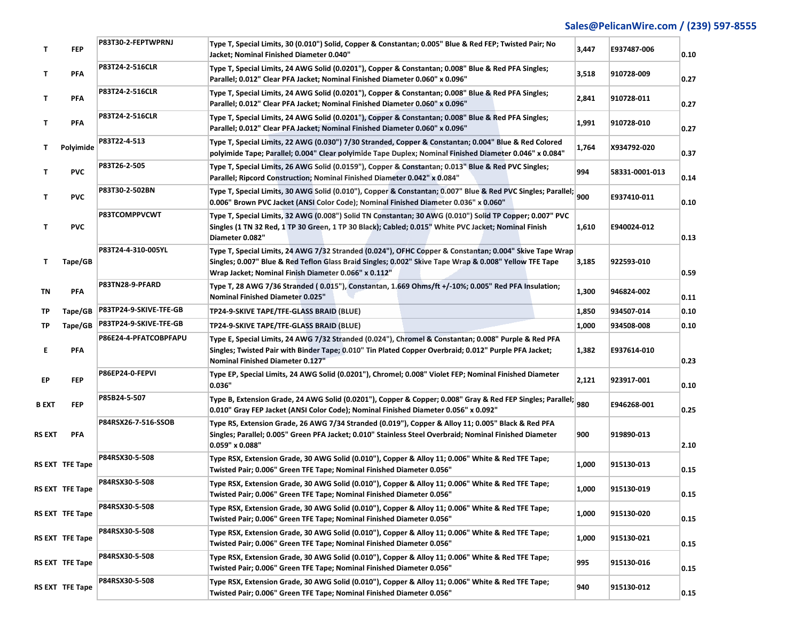| Τ      | <b>FFP</b>             | P83T30-2-FEPTWPRNJ     | Type T, Special Limits, 30 (0.010") Solid, Copper & Constantan; 0.005" Blue & Red FEP; Twisted Pair; No<br>Jacket; Nominal Finished Diameter 0.040"                                                                                                                       | 3,447 | E937487-006    | 0.10 |
|--------|------------------------|------------------------|---------------------------------------------------------------------------------------------------------------------------------------------------------------------------------------------------------------------------------------------------------------------------|-------|----------------|------|
| T.     | PFA                    | P83T24-2-516CLR        | Type T, Special Limits, 24 AWG Solid (0.0201"), Copper & Constantan; 0.008" Blue & Red PFA Singles;<br>Parallel; 0.012" Clear PFA Jacket; Nominal Finished Diameter 0.060" x 0.096"                                                                                       | 3,518 | 910728-009     | 0.27 |
| T.     | PFA                    | P83T24-2-516CLR        | Type T, Special Limits, 24 AWG Solid (0.0201"), Copper & Constantan; 0.008" Blue & Red PFA Singles;<br>Parallel; 0.012" Clear PFA Jacket; Nominal Finished Diameter 0.060" x 0.096"                                                                                       | 2,841 | 910728-011     | 0.27 |
| T.     | PFA                    | P83T24-2-516CLR        | Type T, Special Limits, 24 AWG Solid (0.0201"), Copper & Constantan; 0.008" Blue & Red PFA Singles;<br>Parallel; 0.012" Clear PFA Jacket; Nominal Finished Diameter 0.060" x 0.096"                                                                                       | 1,991 | 910728-010     | 0.27 |
| T.     | Polyimide              | P83T22-4-513           | Type T, Special Limits, 22 AWG (0.030") 7/30 Stranded, Copper & Constantan; 0.004" Blue & Red Colored<br>polyimide Tape; Parallel; 0.004" Clear polyimide Tape Duplex; Nominal Finished Diameter 0.046" x 0.084"                                                          | 1,764 | X934792-020    | 0.37 |
| T.     | <b>PVC</b>             | P83T26-2-505           | Type T, Special Limits, 26 AWG Solid (0.0159"), Copper & Constantan; 0.013" Blue & Red PVC Singles;<br>Parallel; Ripcord Construction; Nominal Finished Diameter 0.042" x 0.084"                                                                                          | 994   | 58331-0001-013 | 0.14 |
| T.     | <b>PVC</b>             | P83T30-2-502BN         | Type T, Special Limits, 30 AWG Solid (0.010"), Copper & Constantan; 0.007" Blue & Red PVC Singles; Parallel;<br>0.006" Brown PVC Jacket (ANSI Color Code); Nominal Finished Diameter 0.036" x 0.060"                                                                      | 900   | E937410-011    | 0.10 |
| T.     | <b>PVC</b>             | P83TCOMPPVCWT          | Type T, Special Limits, 32 AWG (0.008") Solid TN Constantan; 30 AWG (0.010") Solid TP Copper; 0.007" PVC<br>Singles (1 TN 32 Red, 1 TP 30 Green, 1 TP 30 Black); Cabled; 0.015" White PVC Jacket; Nominal Finish<br>Diameter 0.082"                                       | 1,610 | E940024-012    | 0.13 |
| Τ.     | Tape/GB                | P83T24-4-310-005YL     | Type T, Special Limits, 24 AWG 7/32 Stranded (0.024"), OFHC Copper & Constantan; 0.004" Skive Tape Wrap<br>Singles; 0.007" Blue & Red Teflon Glass Braid Singles; 0.002" Skive Tape Wrap & 0.008" Yellow TFE Tape<br>Wrap Jacket; Nominal Finish Diameter 0.066" x 0.112" | 3,185 | 922593-010     | 0.59 |
| ΤN     | PFA                    | P83TN28-9-PFARD        | Type T, 28 AWG 7/36 Stranded (0.015"), Constantan, 1.669 Ohms/ft +/-10%; 0.005" Red PFA Insulation;<br>Nominal Finished Diameter 0.025"                                                                                                                                   | 1,300 | 946824-002     | 0.11 |
| ТP     | Tape/GB                | P83TP24-9-SKIVE-TFE-GB | TP24-9-SKIVE TAPE/TFE-GLASS BRAID (BLUE)                                                                                                                                                                                                                                  | 1,850 | 934507-014     | 0.10 |
| TР     | Tape/GB                | P83TP24-9-SKIVE-TFE-GB | TP24-9-SKIVE TAPE/TFE-GLASS BRAID (BLUE)                                                                                                                                                                                                                                  | 1,000 | 934508-008     | 0.10 |
| E.     | PFA                    | P86E24-4-PFATCOBPFAPU  | Type E, Special Limits, 24 AWG 7/32 Stranded (0.024"), Chromel & Constantan; 0.008" Purple & Red PFA<br>Singles; Twisted Pair with Binder Tape; 0.010" Tin Plated Copper Overbraid; 0.012" Purple PFA Jacket;<br>Nominal Finished Diameter 0.127"                         | 1,382 | E937614-010    | 0.23 |
| EP     | <b>FFP</b>             | P86EP24-0-FEPVI        | Type EP, Special Limits, 24 AWG Solid (0.0201"), Chromel; 0.008" Violet FEP; Nominal Finished Diameter<br>0.036"                                                                                                                                                          | 2,121 | 923917-001     | 0.10 |
| B EXT  | <b>FEP</b>             | P85B24-5-507           | Type B, Extension Grade, 24 AWG Solid (0.0201"), Copper & Copper; 0.008" Gray & Red FEP Singles; Parallel; 980<br>0.010" Gray FEP Jacket (ANSI Color Code); Nominal Finished Diameter 0.056" x 0.092"                                                                     |       | E946268-001    | 0.25 |
| RS EXT | PFA                    | P84RSX26-7-516-SSOB    | Type RS, Extension Grade, 26 AWG 7/34 Stranded (0.019"), Copper & Alloy 11; 0.005" Black & Red PFA<br>Singles; Parallel; 0.005" Green PFA Jacket; 0.010" Stainless Steel Overbraid; Nominal Finished Diameter<br>0.059" x 0.088"                                          | 900   | 919890-013     | 2.10 |
|        | <b>RS EXT TFE Tape</b> | P84RSX30-5-508         | Type RSX, Extension Grade, 30 AWG Solid (0.010"), Copper & Alloy 11; 0.006" White & Red TFE Tape;<br>Twisted Pair; 0.006" Green TFE Tape; Nominal Finished Diameter 0.056"                                                                                                | 1,000 | 915130-013     | 0.15 |
|        | RS EXT TFE Tape        | P84RSX30-5-508         | Type RSX, Extension Grade, 30 AWG Solid (0.010"), Copper & Alloy 11; 0.006" White & Red TFE Tape;<br>Twisted Pair; 0.006" Green TFE Tape; Nominal Finished Diameter 0.056"                                                                                                | 1,000 | 915130-019     | 0.15 |
|        | RS EXT TFE Tape        | P84RSX30-5-508         | Type RSX, Extension Grade, 30 AWG Solid (0.010"), Copper & Alloy 11; 0.006" White & Red TFE Tape;<br>Twisted Pair; 0.006" Green TFE Tape; Nominal Finished Diameter 0.056"                                                                                                | 1,000 | 915130-020     | 0.15 |
|        | RS EXT TFE Tape        | P84RSX30-5-508         | Type RSX, Extension Grade, 30 AWG Solid (0.010"), Copper & Alloy 11; 0.006" White & Red TFE Tape;<br>Twisted Pair; 0.006" Green TFE Tape; Nominal Finished Diameter 0.056"                                                                                                | 1,000 | 915130-021     | 0.15 |
|        | RS EXT TFE Tape        | P84RSX30-5-508         | Type RSX, Extension Grade, 30 AWG Solid (0.010"), Copper & Alloy 11; 0.006" White & Red TFE Tape;<br>Twisted Pair; 0.006" Green TFE Tape; Nominal Finished Diameter 0.056"                                                                                                | 995   | 915130-016     | 0.15 |
|        | RS EXT TFE Tape        | P84RSX30-5-508         | Type RSX, Extension Grade, 30 AWG Solid (0.010"), Copper & Alloy 11; 0.006" White & Red TFE Tape;<br>Twisted Pair; 0.006" Green TFE Tape; Nominal Finished Diameter 0.056"                                                                                                | 940   | 915130-012     | 0.15 |